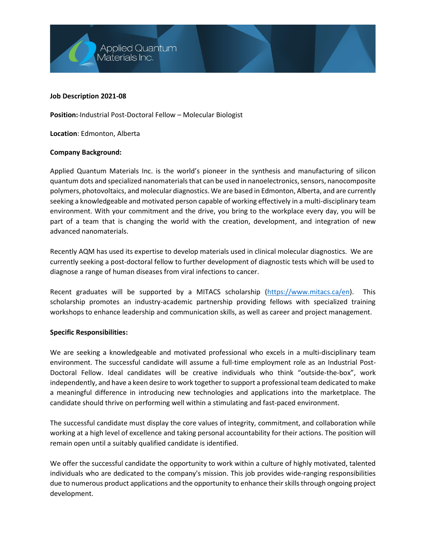**Applied Quantum** Materials Inc.

#### **Job Description 2021-08**

**Position:** Industrial Post-Doctoral Fellow – Molecular Biologist

**Location**: Edmonton, Alberta

#### **Company Background:**

Applied Quantum Materials Inc. is the world's pioneer in the synthesis and manufacturing of silicon quantum dots and specialized nanomaterialsthat can be used in nanoelectronics, sensors, nanocomposite polymers, photovoltaics, and molecular diagnostics. We are based in Edmonton, Alberta, and are currently seeking a knowledgeable and motivated person capable of working effectively in a multi-disciplinary team environment. With your commitment and the drive, you bring to the workplace every day, you will be part of a team that is changing the world with the creation, development, and integration of new advanced nanomaterials.

Recently AQM has used its expertise to develop materials used in clinical molecular diagnostics. We are currently seeking a post-doctoral fellow to further development of diagnostic tests which will be used to diagnose a range of human diseases from viral infections to cancer.

Recent graduates will be supported by a MITACS scholarship [\(https://www.mitacs.ca/en\)](https://www.mitacs.ca/en). This scholarship promotes an industry-academic partnership providing fellows with specialized training workshops to enhance leadership and communication skills, as well as career and project management.

## **Specific Responsibilities:**

We are seeking a knowledgeable and motivated professional who excels in a multi-disciplinary team environment. The successful candidate will assume a full-time employment role as an Industrial Post-Doctoral Fellow. Ideal candidates will be creative individuals who think "outside-the-box", work independently, and have a keen desire to work together to support a professional team dedicated to make a meaningful difference in introducing new technologies and applications into the marketplace. The candidate should thrive on performing well within a stimulating and fast-paced environment.

The successful candidate must display the core values of integrity, commitment, and collaboration while working at a high level of excellence and taking personal accountability for their actions. The position will remain open until a suitably qualified candidate is identified.

We offer the successful candidate the opportunity to work within a culture of highly motivated, talented individuals who are dedicated to the company's mission. This job provides wide-ranging responsibilities due to numerous product applications and the opportunity to enhance their skills through ongoing project development.